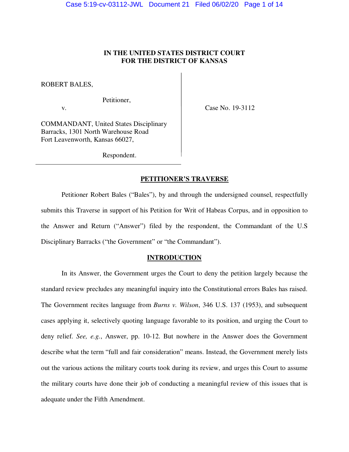# **IN THE UNITED STATES DISTRICT COURT FOR THE DISTRICT OF KANSAS**

ROBERT BALES,

Petitioner,

v. **Case No. 19-3112** 

COMMANDANT, United States Disciplinary Barracks, 1301 North Warehouse Road Fort Leavenworth, Kansas 66027,

Respondent.

### **PETITIONER'S TRAVERSE**

 Petitioner Robert Bales ("Bales"), by and through the undersigned counsel, respectfully submits this Traverse in support of his Petition for Writ of Habeas Corpus, and in opposition to the Answer and Return ("Answer") filed by the respondent, the Commandant of the U.S Disciplinary Barracks ("the Government" or "the Commandant").

### **INTRODUCTION**

 In its Answer, the Government urges the Court to deny the petition largely because the standard review precludes any meaningful inquiry into the Constitutional errors Bales has raised. The Government recites language from *Burns v. Wilson*, 346 U.S. 137 (1953), and subsequent cases applying it, selectively quoting language favorable to its position, and urging the Court to deny relief. *See, e.g.*, Answer, pp. 10-12. But nowhere in the Answer does the Government describe what the term "full and fair consideration" means. Instead, the Government merely lists out the various actions the military courts took during its review, and urges this Court to assume the military courts have done their job of conducting a meaningful review of this issues that is adequate under the Fifth Amendment.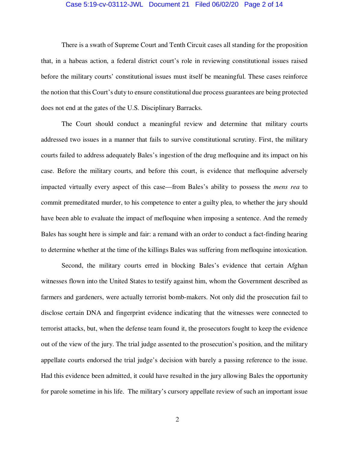### Case 5:19-cv-03112-JWL Document 21 Filed 06/02/20 Page 2 of 14

 There is a swath of Supreme Court and Tenth Circuit cases all standing for the proposition that, in a habeas action, a federal district court's role in reviewing constitutional issues raised before the military courts' constitutional issues must itself be meaningful. These cases reinforce the notion that this Court's duty to ensure constitutional due process guarantees are being protected does not end at the gates of the U.S. Disciplinary Barracks.

The Court should conduct a meaningful review and determine that military courts addressed two issues in a manner that fails to survive constitutional scrutiny. First, the military courts failed to address adequately Bales's ingestion of the drug mefloquine and its impact on his case. Before the military courts, and before this court, is evidence that mefloquine adversely impacted virtually every aspect of this case—from Bales's ability to possess the *mens rea* to commit premeditated murder, to his competence to enter a guilty plea, to whether the jury should have been able to evaluate the impact of mefloquine when imposing a sentence. And the remedy Bales has sought here is simple and fair: a remand with an order to conduct a fact-finding hearing to determine whether at the time of the killings Bales was suffering from mefloquine intoxication.

Second, the military courts erred in blocking Bales's evidence that certain Afghan witnesses flown into the United States to testify against him, whom the Government described as farmers and gardeners, were actually terrorist bomb-makers. Not only did the prosecution fail to disclose certain DNA and fingerprint evidence indicating that the witnesses were connected to terrorist attacks, but, when the defense team found it, the prosecutors fought to keep the evidence out of the view of the jury. The trial judge assented to the prosecution's position, and the military appellate courts endorsed the trial judge's decision with barely a passing reference to the issue. Had this evidence been admitted, it could have resulted in the jury allowing Bales the opportunity for parole sometime in his life. The military's cursory appellate review of such an important issue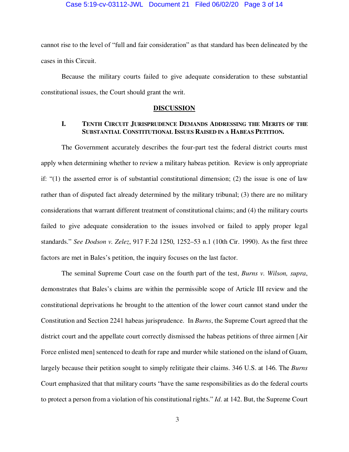cannot rise to the level of "full and fair consideration" as that standard has been delineated by the cases in this Circuit.

Because the military courts failed to give adequate consideration to these substantial constitutional issues, the Court should grant the writ.

### **DISCUSSION**

## **I. TENTH CIRCUIT JURISPRUDENCE DEMANDS ADDRESSING THE MERITS OF THE SUBSTANTIAL CONSTITUTIONAL ISSUES RAISED IN A HABEAS PETITION.**

 The Government accurately describes the four-part test the federal district courts must apply when determining whether to review a military habeas petition. Review is only appropriate if: "(1) the asserted error is of substantial constitutional dimension; (2) the issue is one of law rather than of disputed fact already determined by the military tribunal; (3) there are no military considerations that warrant different treatment of constitutional claims; and (4) the military courts failed to give adequate consideration to the issues involved or failed to apply proper legal standards." *See Dodson v. Zelez*, 917 F.2d 1250, 1252–53 n.1 (10th Cir. 1990). As the first three factors are met in Bales's petition, the inquiry focuses on the last factor.

 The seminal Supreme Court case on the fourth part of the test, *Burns v. Wilson, supra*, demonstrates that Bales's claims are within the permissible scope of Article III review and the constitutional deprivations he brought to the attention of the lower court cannot stand under the Constitution and Section 2241 habeas jurisprudence. In *Burns*, the Supreme Court agreed that the district court and the appellate court correctly dismissed the habeas petitions of three airmen [Air Force enlisted men] sentenced to death for rape and murder while stationed on the island of Guam, largely because their petition sought to simply relitigate their claims. 346 U.S. at 146. The *Burns* Court emphasized that that military courts "have the same responsibilities as do the federal courts to protect a person from a violation of his constitutional rights." *Id*. at 142. But, the Supreme Court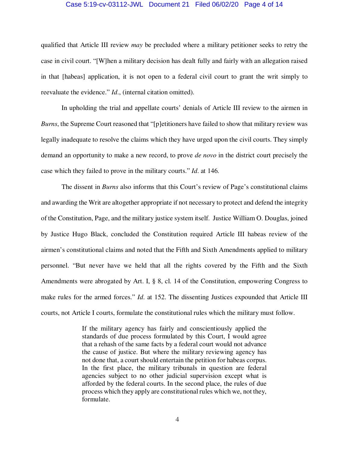### Case 5:19-cv-03112-JWL Document 21 Filed 06/02/20 Page 4 of 14

qualified that Article III review *may* be precluded where a military petitioner seeks to retry the case in civil court. "[W]hen a military decision has dealt fully and fairly with an allegation raised in that [habeas] application, it is not open to a federal civil court to grant the writ simply to reevaluate the evidence." *Id*., (internal citation omitted).

 In upholding the trial and appellate courts' denials of Article III review to the airmen in *Burns*, the Supreme Court reasoned that "[p]etitioners have failed to show that military review was legally inadequate to resolve the claims which they have urged upon the civil courts. They simply demand an opportunity to make a new record, to prove *de novo* in the district court precisely the case which they failed to prove in the military courts." *Id*. at 146.

 The dissent in *Burns* also informs that this Court's review of Page's constitutional claims and awarding the Writ are altogether appropriate if not necessary to protect and defend the integrity of the Constitution, Page, and the military justice system itself. Justice William O. Douglas, joined by Justice Hugo Black, concluded the Constitution required Article III habeas review of the airmen's constitutional claims and noted that the Fifth and Sixth Amendments applied to military personnel. "But never have we held that all the rights covered by the Fifth and the Sixth Amendments were abrogated by Art. I, § 8, cl. 14 of the Constitution, empowering Congress to make rules for the armed forces." *Id.* at 152. The dissenting Justices expounded that Article III courts, not Article I courts, formulate the constitutional rules which the military must follow.

> If the military agency has fairly and conscientiously applied the standards of due process formulated by this Court, I would agree that a rehash of the same facts by a federal court would not advance the cause of justice. But where the military reviewing agency has not done that, a court should entertain the petition for habeas corpus. In the first place, the military tribunals in question are federal agencies subject to no other judicial supervision except what is afforded by the federal courts. In the second place, the rules of due process which they apply are constitutional rules which we, not they, formulate.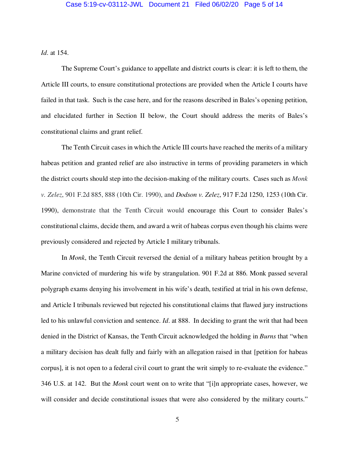*Id*. at 154.

 The Supreme Court's guidance to appellate and district courts is clear: it is left to them, the Article III courts, to ensure constitutional protections are provided when the Article I courts have failed in that task. Such is the case here, and for the reasons described in Bales's opening petition, and elucidated further in Section II below, the Court should address the merits of Bales's constitutional claims and grant relief.

The Tenth Circuit cases in which the Article III courts have reached the merits of a military habeas petition and granted relief are also instructive in terms of providing parameters in which the district courts should step into the decision-making of the military courts. Cases such as *Monk v. Zelez*, 901 F.2d 885, 888 (10th Cir. 1990), and *Dodson v. Zelez*, 917 F.2d 1250, 1253 (10th Cir. 1990), demonstrate that the Tenth Circuit would encourage this Court to consider Bales's constitutional claims, decide them, and award a writ of habeas corpus even though his claims were previously considered and rejected by Article I military tribunals.

In *Monk*, the Tenth Circuit reversed the denial of a military habeas petition brought by a Marine convicted of murdering his wife by strangulation. 901 F.2d at 886. Monk passed several polygraph exams denying his involvement in his wife's death, testified at trial in his own defense, and Article I tribunals reviewed but rejected his constitutional claims that flawed jury instructions led to his unlawful conviction and sentence. *Id*. at 888. In deciding to grant the writ that had been denied in the District of Kansas, the Tenth Circuit acknowledged the holding in *Burns* that "when a military decision has dealt fully and fairly with an allegation raised in that [petition for habeas corpus], it is not open to a federal civil court to grant the writ simply to re-evaluate the evidence." 346 U.S. at 142. But the *Monk* court went on to write that "[i]n appropriate cases, however, we will consider and decide constitutional issues that were also considered by the military courts."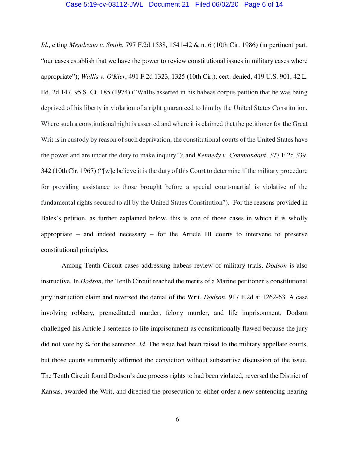### Case 5:19-cv-03112-JWL Document 21 Filed 06/02/20 Page 6 of 14

*Id*., citing *Mendrano v. Smith*, 797 F.2d 1538, 1541-42 & n. 6 (10th Cir. 1986) (in pertinent part, "our cases establish that we have the power to review constitutional issues in military cases where appropriate"); *Wallis v. O'Kier*, 491 F.2d 1323, 1325 (10th Cir.), cert. denied, 419 U.S. 901, 42 L. Ed. 2d 147, 95 S. Ct. 185 (1974) ("Wallis asserted in his habeas corpus petition that he was being deprived of his liberty in violation of a right guaranteed to him by the United States Constitution. Where such a constitutional right is asserted and where it is claimed that the petitioner for the Great Writ is in custody by reason of such deprivation, the constitutional courts of the United States have the power and are under the duty to make inquiry"); and *Kennedy v. Commandant*, 377 F.2d 339, 342 (10th Cir. 1967) ("[w]e believe it is the duty of this Court to determine if the military procedure for providing assistance to those brought before a special court-martial is violative of the fundamental rights secured to all by the United States Constitution"). For the reasons provided in Bales's petition, as further explained below, this is one of those cases in which it is wholly appropriate – and indeed necessary – for the Article III courts to intervene to preserve constitutional principles.

Among Tenth Circuit cases addressing habeas review of military trials, *Dodson* is also instructive. In *Dodson*, the Tenth Circuit reached the merits of a Marine petitioner's constitutional jury instruction claim and reversed the denial of the Writ. *Dodson*, 917 F.2d at 1262-63. A case involving robbery, premeditated murder, felony murder, and life imprisonment, Dodson challenged his Article I sentence to life imprisonment as constitutionally flawed because the jury did not vote by ¾ for the sentence. *Id*. The issue had been raised to the military appellate courts, but those courts summarily affirmed the conviction without substantive discussion of the issue. The Tenth Circuit found Dodson's due process rights to had been violated, reversed the District of Kansas, awarded the Writ, and directed the prosecution to either order a new sentencing hearing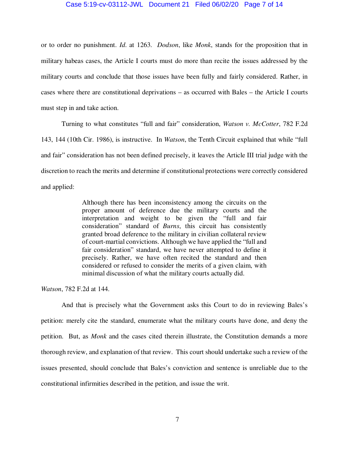### Case 5:19-cv-03112-JWL Document 21 Filed 06/02/20 Page 7 of 14

or to order no punishment. *Id*. at 1263. *Dodson*, like *Monk*, stands for the proposition that in military habeas cases, the Article I courts must do more than recite the issues addressed by the military courts and conclude that those issues have been fully and fairly considered. Rather, in cases where there are constitutional deprivations – as occurred with Bales – the Article I courts must step in and take action.

 Turning to what constitutes "full and fair" consideration, *Watson v. McCotter*, 782 F.2d 143, 144 (10th Cir. 1986), is instructive. In *Watson*, the Tenth Circuit explained that while "full and fair" consideration has not been defined precisely, it leaves the Article III trial judge with the discretion to reach the merits and determine if constitutional protections were correctly considered and applied:

> Although there has been inconsistency among the circuits on the proper amount of deference due the military courts and the interpretation and weight to be given the "full and fair consideration" standard of *Burns*, this circuit has consistently granted broad deference to the military in civilian collateral review of court-martial convictions. Although we have applied the "full and fair consideration" standard, we have never attempted to define it precisely. Rather, we have often recited the standard and then considered or refused to consider the merits of a given claim, with minimal discussion of what the military courts actually did.

*Watson*, 782 F.2d at 144.

And that is precisely what the Government asks this Court to do in reviewing Bales's petition: merely cite the standard, enumerate what the military courts have done, and deny the petition. But, as *Monk* and the cases cited therein illustrate, the Constitution demands a more thorough review, and explanation of that review. This court should undertake such a review of the issues presented, should conclude that Bales's conviction and sentence is unreliable due to the constitutional infirmities described in the petition, and issue the writ.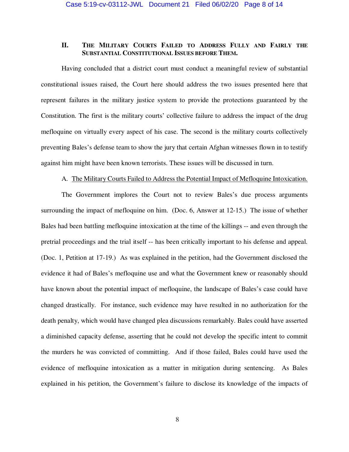### **II. THE MILITARY COURTS FAILED TO ADDRESS FULLY AND FAIRLY THE SUBSTANTIAL CONSTITUTIONAL ISSUES BEFORE THEM.**

 Having concluded that a district court must conduct a meaningful review of substantial constitutional issues raised, the Court here should address the two issues presented here that represent failures in the military justice system to provide the protections guaranteed by the Constitution. The first is the military courts' collective failure to address the impact of the drug mefloquine on virtually every aspect of his case. The second is the military courts collectively preventing Bales's defense team to show the jury that certain Afghan witnesses flown in to testify against him might have been known terrorists. These issues will be discussed in turn.

### A. The Military Courts Failed to Address the Potential Impact of Mefloquine Intoxication.

The Government implores the Court not to review Bales's due process arguments surrounding the impact of mefloquine on him. (Doc. 6, Answer at 12-15.) The issue of whether Bales had been battling mefloquine intoxication at the time of the killings -- and even through the pretrial proceedings and the trial itself -- has been critically important to his defense and appeal. (Doc. 1, Petition at 17-19.) As was explained in the petition, had the Government disclosed the evidence it had of Bales's mefloquine use and what the Government knew or reasonably should have known about the potential impact of mefloquine, the landscape of Bales's case could have changed drastically. For instance, such evidence may have resulted in no authorization for the death penalty, which would have changed plea discussions remarkably. Bales could have asserted a diminished capacity defense, asserting that he could not develop the specific intent to commit the murders he was convicted of committing. And if those failed, Bales could have used the evidence of mefloquine intoxication as a matter in mitigation during sentencing. As Bales explained in his petition, the Government's failure to disclose its knowledge of the impacts of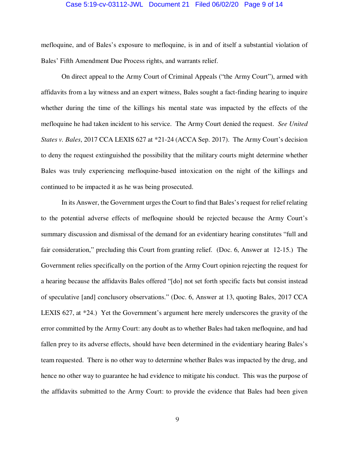### Case 5:19-cv-03112-JWL Document 21 Filed 06/02/20 Page 9 of 14

mefloquine, and of Bales's exposure to mefloquine, is in and of itself a substantial violation of Bales' Fifth Amendment Due Process rights, and warrants relief.

On direct appeal to the Army Court of Criminal Appeals ("the Army Court"), armed with affidavits from a lay witness and an expert witness, Bales sought a fact-finding hearing to inquire whether during the time of the killings his mental state was impacted by the effects of the mefloquine he had taken incident to his service. The Army Court denied the request. *See United States v. Bales*, 2017 CCA LEXIS 627 at \*21-24 (ACCA Sep. 2017). The Army Court's decision to deny the request extinguished the possibility that the military courts might determine whether Bales was truly experiencing mefloquine-based intoxication on the night of the killings and continued to be impacted it as he was being prosecuted.

In its Answer, the Government urges the Court to find that Bales's request for relief relating to the potential adverse effects of mefloquine should be rejected because the Army Court's summary discussion and dismissal of the demand for an evidentiary hearing constitutes "full and fair consideration," precluding this Court from granting relief. (Doc. 6, Answer at 12-15.) The Government relies specifically on the portion of the Army Court opinion rejecting the request for a hearing because the affidavits Bales offered "[do] not set forth specific facts but consist instead of speculative [and] conclusory observations." (Doc. 6, Answer at 13, quoting Bales, 2017 CCA LEXIS 627, at \*24.) Yet the Government's argument here merely underscores the gravity of the error committed by the Army Court: any doubt as to whether Bales had taken mefloquine, and had fallen prey to its adverse effects, should have been determined in the evidentiary hearing Bales's team requested. There is no other way to determine whether Bales was impacted by the drug, and hence no other way to guarantee he had evidence to mitigate his conduct. This was the purpose of the affidavits submitted to the Army Court: to provide the evidence that Bales had been given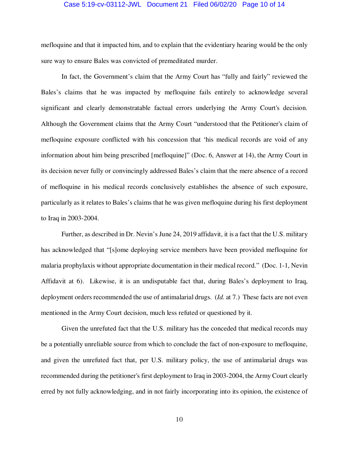### Case 5:19-cv-03112-JWL Document 21 Filed 06/02/20 Page 10 of 14

mefloquine and that it impacted him, and to explain that the evidentiary hearing would be the only sure way to ensure Bales was convicted of premeditated murder.

In fact, the Government's claim that the Army Court has "fully and fairly" reviewed the Bales's claims that he was impacted by mefloquine fails entirely to acknowledge several significant and clearly demonstratable factual errors underlying the Army Court's decision. Although the Government claims that the Army Court "understood that the Petitioner's claim of mefloquine exposure conflicted with his concession that 'his medical records are void of any information about him being prescribed [mefloquine]" (Doc. 6, Answer at 14), the Army Court in its decision never fully or convincingly addressed Bales's claim that the mere absence of a record of mefloquine in his medical records conclusively establishes the absence of such exposure, particularly as it relates to Bales's claims that he was given mefloquine during his first deployment to Iraq in 2003-2004.

Further, as described in Dr. Nevin's June 24, 2019 affidavit, it is a fact that the U.S. military has acknowledged that "[s]ome deploying service members have been provided mefloquine for malaria prophylaxis without appropriate documentation in their medical record." (Doc. 1-1, Nevin Affidavit at 6). Likewise, it is an undisputable fact that, during Bales's deployment to Iraq, deployment orders recommended the use of antimalarial drugs. (*Id.* at 7.) These facts are not even mentioned in the Army Court decision, much less refuted or questioned by it.

Given the unrefuted fact that the U.S. military has the conceded that medical records may be a potentially unreliable source from which to conclude the fact of non-exposure to mefloquine, and given the unrefuted fact that, per U.S. military policy, the use of antimalarial drugs was recommended during the petitioner's first deployment to Iraq in 2003-2004, the Army Court clearly erred by not fully acknowledging, and in not fairly incorporating into its opinion, the existence of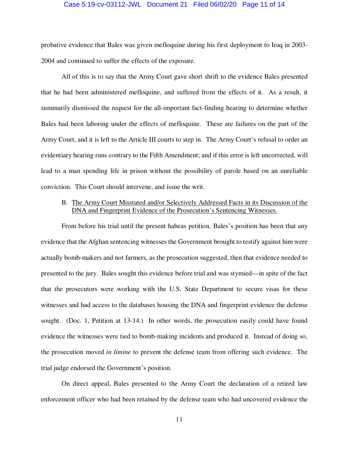### Case 5:19-cv-03112-JWL Document 21 Filed 06/02/20 Page 11 of 14

probative evidence that Bales was given mefloquine during his first deployment to Iraq in 2003- 2004 and continued to suffer the effects of the exposure.

All of this is to say that the Army Court gave short shrift to the evidence Bales presented that he had been administered mefloquine, and suffered from the effects of it. As a result, it summarily dismissed the request for the all-important fact-finding hearing to determine whether Bales had been laboring under the effects of mefloquine. These are failures on the part of the Army Court, and it is left to the Article III courts to step in. The Army Court's refusal to order an evidentiary hearing runs contrary to the Fifth Amendment; and if this error is left uncorrected, will lead to a man spending life in prison without the possibility of parole based on an unreliable conviction. This Court should intervene, and issue the writ.

## B. The Army Court Misstated and/or Selectively Addressed Facts in its Discussion of the DNA and Fingerprint Evidence of the Prosecution's Sentencing Witnesses.

From before his trial until the present habeas petition, Bales's position has been that any evidence that the Afghan sentencing witnesses the Government brought to testify against him were actually bomb-makers and not farmers, as the prosecution suggested, then that evidence needed to presented to the jury. Bales sought this evidence before trial and was stymied—in spite of the fact that the prosecutors were working with the U.S. State Department to secure visas for these witnesses and had access to the databases housing the DNA and fingerprint evidence the defense sought. (Doc. 1, Petition at 13-14.) In other words, the prosecution easily could have found evidence the witnesses were tied to bomb-making incidents and produced it. Instead of doing so, the prosecution moved *in limine* to prevent the defense team from offering such evidence. The trial judge endorsed the Government's position.

On direct appeal, Bales presented to the Army Court the declaration of a retired law enforcement officer who had been retained by the defense team who had uncovered evidence the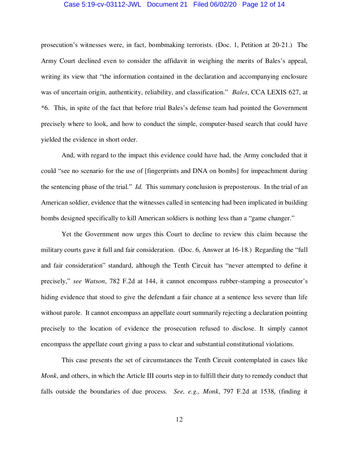### Case 5:19-cv-03112-JWL Document 21 Filed 06/02/20 Page 12 of 14

prosecution's witnesses were, in fact, bombmaking terrorists. (Doc. 1, Petition at 20-21.) The Army Court declined even to consider the affidavit in weighing the merits of Bales's appeal, writing its view that "the information contained in the declaration and accompanying enclosure was of uncertain origin, authenticity, reliability, and classification." *Bales*, CCA LEXIS 627, at \*6. This, in spite of the fact that before trial Bales's defense team had pointed the Government precisely where to look, and how to conduct the simple, computer-based search that could have yielded the evidence in short order.

And, with regard to the impact this evidence could have had, the Army concluded that it could "see no scenario for the use of [fingerprints and DNA on bombs] for impeachment during the sentencing phase of the trial." *Id.* This summary conclusion is preposterous. In the trial of an American soldier, evidence that the witnesses called in sentencing had been implicated in building bombs designed specifically to kill American soldiers is nothing less than a "game changer."

Yet the Government now urges this Court to decline to review this claim because the military courts gave it full and fair consideration. (Doc. 6, Answer at 16-18.) Regarding the "full and fair consideration" standard, although the Tenth Circuit has "never attempted to define it precisely," *see Watson*, 782 F.2d at 144, it cannot encompass rubber-stamping a prosecutor's hiding evidence that stood to give the defendant a fair chance at a sentence less severe than life without parole. It cannot encompass an appellate court summarily rejecting a declaration pointing precisely to the location of evidence the prosecution refused to disclose. It simply cannot encompass the appellate court giving a pass to clear and substantial constitutional violations.

This case presents the set of circumstances the Tenth Circuit contemplated in cases like *Monk*, and others, in which the Article III courts step in to fulfill their duty to remedy conduct that falls outside the boundaries of due process. *See, e.g., Monk*, 797 F.2d at 1538, (finding it

12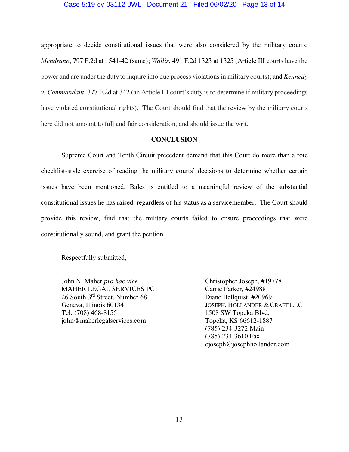### Case 5:19-cv-03112-JWL Document 21 Filed 06/02/20 Page 13 of 14

appropriate to decide constitutional issues that were also considered by the military courts; *Mendrano*, 797 F.2d at 1541-42 (same); *Wallis*, 491 F.2d 1323 at 1325 (Article III courts have the power and are under the duty to inquire into due process violations in military courts); and *Kennedy v. Commandant*, 377 F.2d at 342 (an Article III court's duty is to determine if military proceedings have violated constitutional rights). The Court should find that the review by the military courts here did not amount to full and fair consideration, and should issue the writ.

### **CONCLUSION**

 Supreme Court and Tenth Circuit precedent demand that this Court do more than a rote checklist-style exercise of reading the military courts' decisions to determine whether certain issues have been mentioned. Bales is entitled to a meaningful review of the substantial constitutional issues he has raised, regardless of his status as a servicemember. The Court should provide this review, find that the military courts failed to ensure proceedings that were constitutionally sound, and grant the petition.

Respectfully submitted,

John N. Maher *pro hac vice* Christopher Joseph, #19778<br>
MAHER LEGAL SERVICES PC Carrie Parker, #24988 MAHER LEGAL SERVICES PC 26 South 3<sup>rd</sup> Street, Number 68 Diane Bellquist. #20969<br>Geneva, Illinois 60134 JOSEPH, HOLLANDER & C Tel: (708) 468-8155 1508 SW Topeka Blvd. john@maherlegalservices.com Topeka, KS 66612-1887

JOSEPH, HOLLANDER & CRAFT LLC (785) 234-3272 Main (785) 234-3610 Fax cjoseph@josephhollander.com